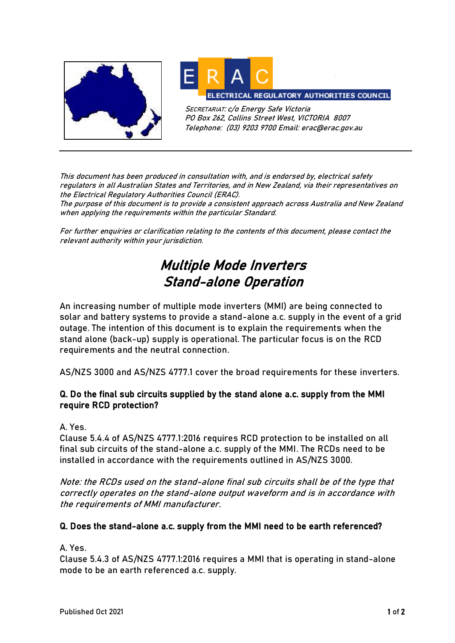



SECRETARIAT: c/o Energy Safe Victoria PO Box 262, Collins Street West, VICTORIA 8007 Telephone: (03) 9203 9700 Email: erac@erac.gov.au

This document has been produced in consultation with, and is endorsed by, electrical safety regulators in all Australian States and Territories, and in New Zealand, via their representatives on the Electrical Regulatory Authorities Council (ERAC).

The purpose of this document is to provide a consistent approach across Australia and New Zealand when applying the requirements within the particular Standard.

For further enquiries or clarification relating to the contents of this document, please contact the relevant authority within your jurisdiction.

## Multiple Mode Inverters Stand-alone Operation

An increasing number of multiple mode inverters (MMI) are being connected to solar and battery systems to provide a stand-alone a.c. supply in the event of a grid outage. The intention of this document is to explain the requirements when the stand alone (back-up) supply is operational. The particular focus is on the RCD requirements and the neutral connection.

AS/NZS 3000 and AS/NZS 4777.1 cover the broad requirements for these inverters.

## Q. Do the final sub circuits supplied by the stand alone a.c. supply from the MMI require RCD protection?

A. Yes.

Clause 5.4.4 of AS/NZS 4777.1:2016 requires RCD protection to be installed on all final sub circuits of the stand-alone a.c. supply of the MMI. The RCDs need to be installed in accordance with the requirements outlined in AS/NZS 3000.

Note: the RCDs used on the stand-alone final sub circuits shall be of the type that correctly operates on the stand-alone output waveform and is in accordance with the requirements of MMI manufacturer.

## Q. Does the stand-alone a.c. supply from the MMI need to be earth referenced?

A. Yes.

Clause 5.4.3 of AS/NZS 4777.1:2016 requires a MMI that is operating in stand-alone mode to be an earth referenced a.c. supply.